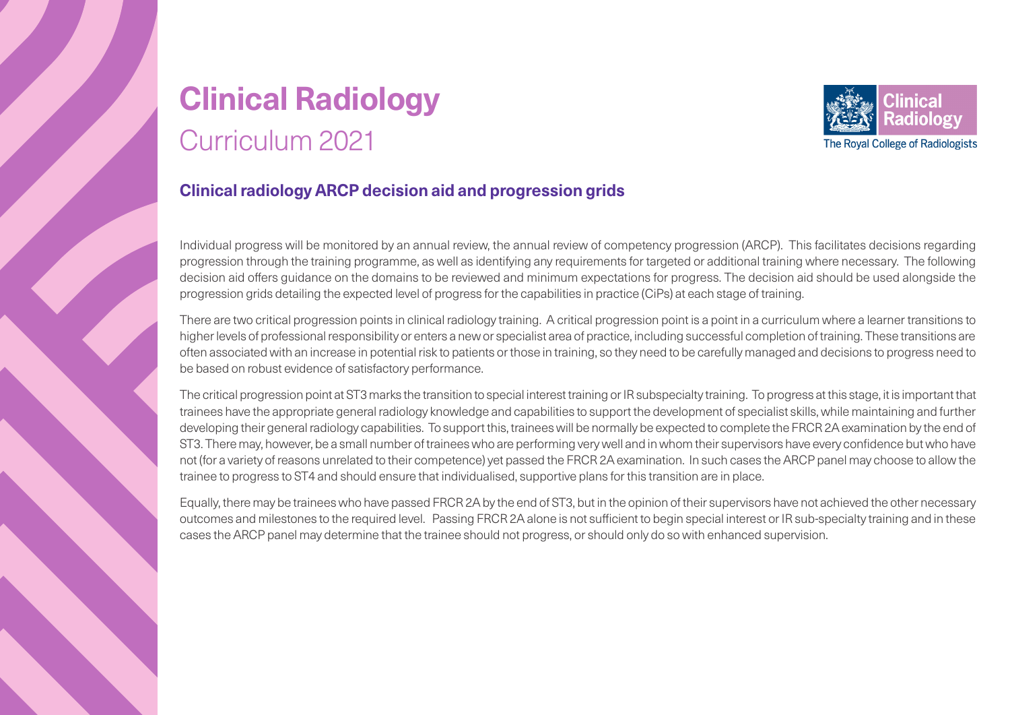## **Clinical Radiology** Curriculum 2021



#### **Clinical radiology ARCP decision aid and progression grids**

Individual progress will be monitored by an annual review, the annual review of competency progression (ARCP). This facilitates decisions regarding progression through the training programme, as well as identifying any requirements for targeted or additional training where necessary. The following decision aid offers guidance on the domains to be reviewed and minimum expectations for progress. The decision aid should be used alongside the progression grids detailing the expected level of progress for the capabilities in practice (CiPs) at each stage of training.

There are two critical progression points in clinical radiology training. A critical progression point is a point in a curriculum where a learner transitions to higher levels of professional responsibility or enters a new or specialist area of practice, including successful completion of training. These transitions are often associated with an increase in potential risk to patients or those in training, so they need to be carefully managed and decisions to progress need to be based on robust evidence of satisfactory performance.

The critical progression point at ST3 marks the transition to special interest training or IR subspecialty training. To progress at this stage, it is important that trainees have the appropriate general radiology knowledge and capabilities to support the development of specialist skills, while maintaining and further developing their general radiology capabilities. To support this, trainees will be normally be expected to complete the FRCR 2A examination by the end of ST3. There may, however, be a small number of trainees who are performing very well and in whom their supervisors have every confidence but who have not (for a variety of reasons unrelated to their competence) yet passed the FRCR 2A examination. In such cases the ARCP panel may choose to allow the trainee to progress to ST4 and should ensure that individualised, supportive plans for this transition are in place.

Equally, there may be trainees who have passed FRCR 2A by the end of ST3, but in the opinion of their supervisors have not achieved the other necessary outcomes and milestones to the required level. Passing FRCR 2A alone is not sufficient to begin special interest or IR sub-specialty training and in these cases the ARCP panel may determine that the trainee should not progress, or should only do so with enhanced supervision.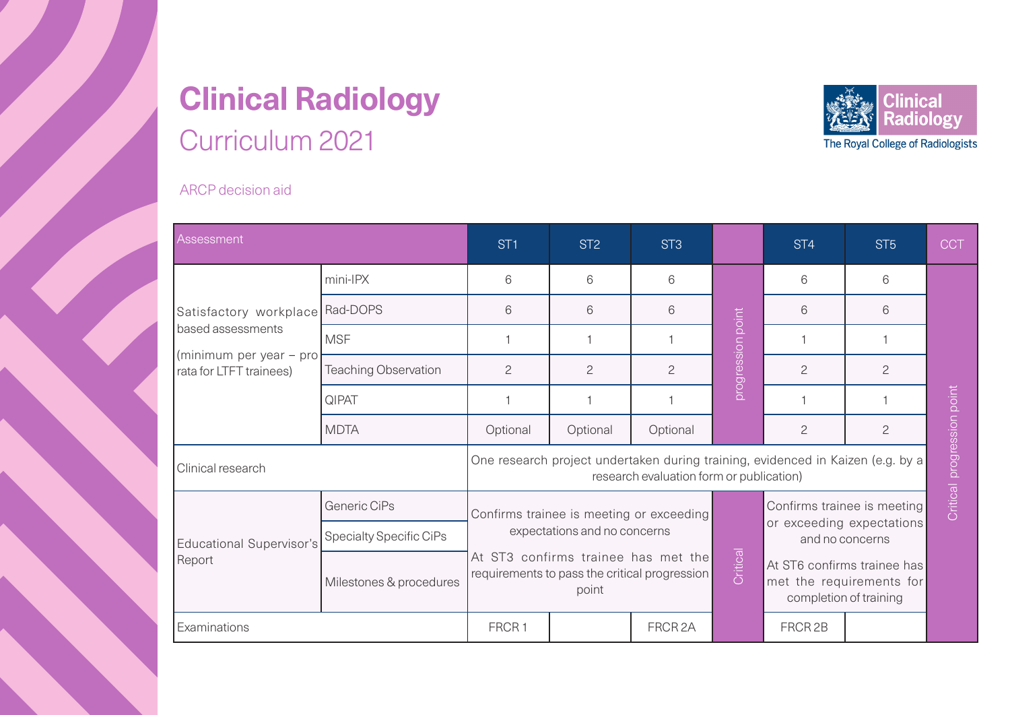## **Clinical Radiology** Curriculum 2021



ARCP decision aid

| <b>Assessment</b>                                                                                 |                                | ST1                                                                                                                         | ST <sub>2</sub>              | ST <sub>3</sub>                               |                   | ST <sub>4</sub>                              | ST <sub>5</sub> | <b>CCT</b>                                                                        |  |
|---------------------------------------------------------------------------------------------------|--------------------------------|-----------------------------------------------------------------------------------------------------------------------------|------------------------------|-----------------------------------------------|-------------------|----------------------------------------------|-----------------|-----------------------------------------------------------------------------------|--|
| Satisfactory workplace<br>based assessments<br>(minimum per year – pro<br>rata for LTFT trainees) | mini-IPX                       | 6                                                                                                                           | 6                            | 6                                             |                   | 6                                            | 6               | Critical progression point                                                        |  |
|                                                                                                   | Rad-DOPS                       | 6                                                                                                                           | 6                            | 6                                             |                   | 6                                            | 6               |                                                                                   |  |
|                                                                                                   | <b>MSF</b>                     |                                                                                                                             |                              |                                               |                   |                                              |                 |                                                                                   |  |
|                                                                                                   | <b>Teaching Observation</b>    | 2                                                                                                                           | $\overline{c}$               | 2                                             | progression point | $\overline{c}$                               | $\overline{c}$  |                                                                                   |  |
|                                                                                                   | QIPAT                          |                                                                                                                             |                              |                                               |                   |                                              |                 |                                                                                   |  |
|                                                                                                   | <b>MDTA</b>                    | Optional                                                                                                                    | Optional                     | Optional                                      |                   | $\overline{c}$                               | $\overline{c}$  |                                                                                   |  |
| Clinical research                                                                                 |                                | One research project undertaken during training, evidenced in Kaizen (e.g. by a<br>research evaluation form or publication) |                              |                                               |                   |                                              |                 |                                                                                   |  |
| <b>Educational Supervisor's</b><br>Report                                                         | Generic CiPs                   |                                                                                                                             |                              | Confirms trainee is meeting or exceeding      |                   | Confirms trainee is meeting                  |                 |                                                                                   |  |
|                                                                                                   | <b>Specialty Specific CiPs</b> |                                                                                                                             | expectations and no concerns |                                               |                   | or exceeding expectations<br>and no concerns |                 |                                                                                   |  |
|                                                                                                   | Milestones & procedures        | At ST3 confirms trainee has met the<br>point                                                                                |                              | requirements to pass the critical progression |                   |                                              | Critical        | At ST6 confirms trainee has<br>met the requirements for<br>completion of training |  |
| Examinations                                                                                      |                                | FRCR <sub>1</sub>                                                                                                           |                              | FRCR <sub>2A</sub>                            |                   | FRCR <sub>2B</sub>                           |                 |                                                                                   |  |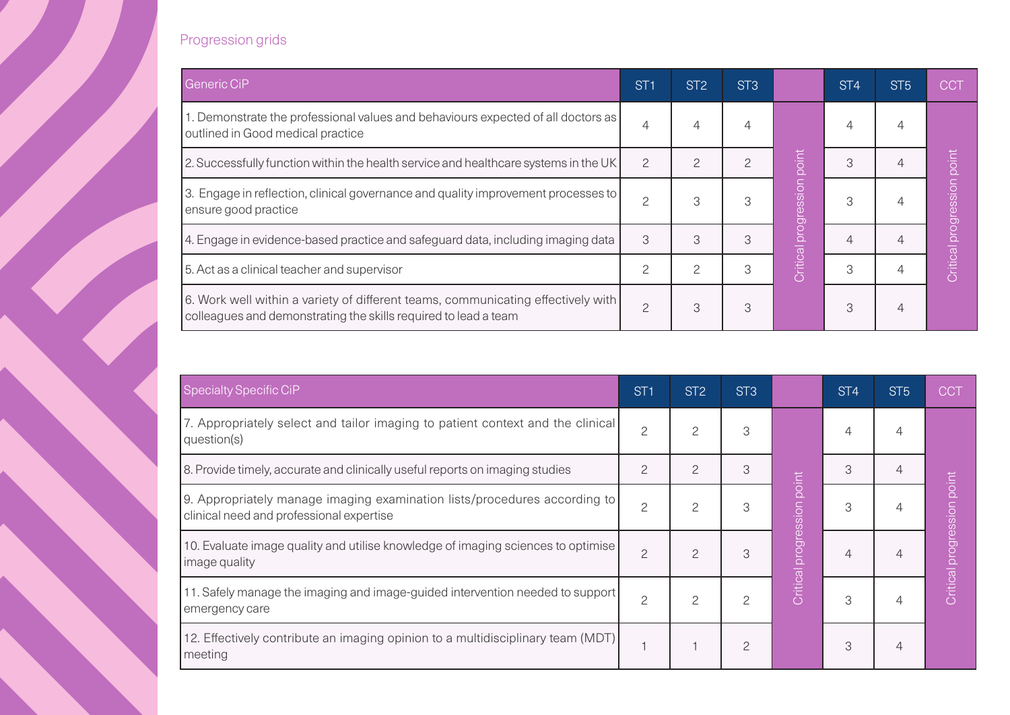#### Progression grids

| <b>Generic CiP</b>                                                                                                                                  | ST <sub>1</sub> | ST <sub>2</sub> | ST <sub>3</sub> |                      | ST <sub>4</sub> | ST <sub>5</sub> | <b>CCT</b>                 |
|-----------------------------------------------------------------------------------------------------------------------------------------------------|-----------------|-----------------|-----------------|----------------------|-----------------|-----------------|----------------------------|
| 1. Demonstrate the professional values and behaviours expected of all doctors as<br>outlined in Good medical practice                               | 4               | 4               |                 |                      | 4               | 4               |                            |
| 2. Successfully function within the health service and healthcare systems in the UK                                                                 | $\overline{c}$  | $\mathcal{P}$   | $\mathcal{P}$   | point                | 3               |                 |                            |
| 3. Engage in reflection, clinical governance and quality improvement processes to<br>ensure good practice                                           |                 | 3               | 3               | Critical progression | 3               |                 | Critical progression point |
| 4. Engage in evidence-based practice and safeguard data, including imaging data                                                                     | 3               | 3               | 3               |                      |                 | 4               |                            |
| 5. Act as a clinical teacher and supervisor                                                                                                         |                 | 2               | 3               |                      | 3               |                 |                            |
| 6. Work well within a variety of different teams, communicating effectively with<br>colleagues and demonstrating the skills required to lead a team | 2               | 3               | 3               |                      | 3               | 4               |                            |

| Specialty Specific CiP                                                                                                | ST <sub>1</sub> | ST <sub>2</sub> | ST <sub>3</sub> |                     | ST <sub>4</sub> | ST <sub>5</sub> | <b>CCT</b>                  |
|-----------------------------------------------------------------------------------------------------------------------|-----------------|-----------------|-----------------|---------------------|-----------------|-----------------|-----------------------------|
| 7. Appropriately select and tailor imaging to patient context and the clinical<br>question(s)                         | $\overline{c}$  | $\overline{c}$  | 3               |                     | 4               | 4               |                             |
| 8. Provide timely, accurate and clinically useful reports on imaging studies                                          | 2               | $\overline{c}$  | 3               | point               | 3               | $\overline{4}$  |                             |
| 9. Appropriately manage imaging examination lists/procedures according to<br>clinical need and professional expertise | $\overline{c}$  | 2               | 3               | dression            |                 |                 | point                       |
| 10. Evaluate image quality and utilise knowledge of imaging sciences to optimise<br>image quality                     | $\overline{c}$  | $\overline{c}$  | 3               | <b>Critical pro</b> |                 |                 | <b>Critical progression</b> |
| 11. Safely manage the imaging and image-guided intervention needed to support<br>emergency care                       | $\overline{c}$  | $\overline{c}$  | 2               |                     | 3               | 4               |                             |
| 12. Effectively contribute an imaging opinion to a multidisciplinary team (MDT)<br>meeting                            |                 |                 | 2               |                     | 3               | 4               |                             |